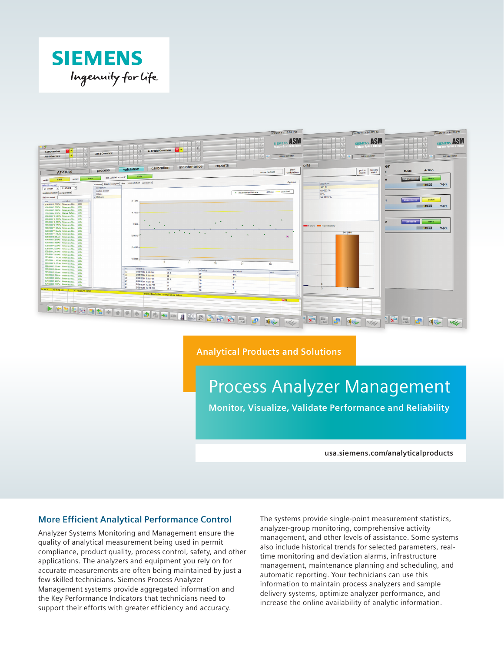



**Analytical Products and Solutions**

# Process Analyzer Management

**Monitor, Visualize, Validate Performance and Reliability**

**usa.siemens.com/analyticalproducts**

## **More Efficient Analytical Performance Control**

Analyzer Systems Monitoring and Management ensure the quality of analytical measurement being used in permit compliance, product quality, process control, safety, and other applications. The analyzers and equipment you rely on for accurate measurements are often being maintained by just a few skilled technicians. Siemens Process Analyzer Management systems provide aggregated information and the Key Performance Indicators that technicians need to support their efforts with greater efficiency and accuracy.

The systems provide single-point measurement statistics, analyzer-group monitoring, comprehensive activity management, and other levels of assistance. Some systems also include historical trends for selected parameters, realtime monitoring and deviation alarms, infrastructure management, maintenance planning and scheduling, and automatic reporting. Your technicians can use this information to maintain process analyzers and sample delivery systems, optimize analyzer performance, and increase the online availability of analytic information.